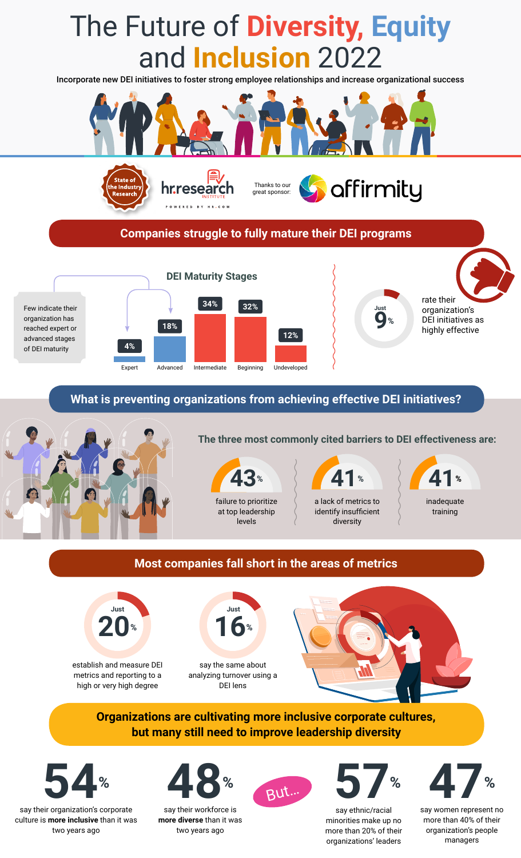# The Future of **Diversity, Equity** and **Inclusion** 2022 Incorporate new DEI initiatives to foster strong employee relationships and increase organizational success affirmity Thanks to our hr.research great sponsor:POWERED BY HR.COM **Companies struggle to fully mature their DEI programs DEI Maturity Stages** rate their **34% 32%** Few indicate their organization's **Just**

organization has reached expert or advanced stages of DEI maturity



**9%**

DEI initiatives as highly effective

**What is preventing organizations from achieving effective DEI initiatives?**



## **The three most commonly cited barriers to DEI effectiveness are:**





identify insufficient diversity

inadequate training

# **Most companies fall short in the areas of metrics**



establish and measure DEI metrics and reporting to a high or very high degree



say the same about analyzing turnover using a DEI lens



**Organizations are cultivating more inclusive corporate cultures, but many still need to improve leadership diversity**



say their organization's corporate culture is **more inclusive** than it was two years ago



say their workforce is **more diverse** than it was two years ago





say ethnic/racial minorities make up no more than 20% of their organizations' leaders

**54% 48% 57% 47%** But…

say women represent no more than 40% of their organization's people managers